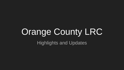# Orange County LRC Highlights and Updates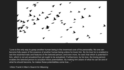

"Love is the only way to grasp another human being in the innermost core of his personality. No one can become fully aware of the essence of another human being unless he loves him. By his love he is enabled to see the essential traits and features of the beloved person; and even more, he sees that which is potential in him, which is not yet actualized but yet ought to be actualized. Furthermore, by his love, the loving person enables the beloved person to actualize these potentialities. By making him aware of what he can be and of what he should become, he makes these potentialities come true…."

-Viktor Frankl *A Man's Search for Meaning*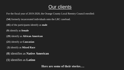# Our clients

For the fiscal year of 2019-2020, the Orange County Local Reentry Council enrolled:

(**54**) formerly incarcerated individuals onto the LRC caseload.

(**45**) of the participants identify as **male**

(**9**) identify as **female**

(**29**) identify as **African American**

(**21**) identify as **Caucasian**

(**3**) identify as **Mixed Race**

(**0**) identifies as **Native American**

(**1**) identifies as **Latino**

**Here are some of their stories….**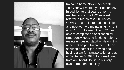

Ira came home November of 2019. This year will mark a year of sobriety! In addition to that year's time, Ira reached out to the LRC as a self referral in March of 2020, just as COVID-19 struck. Ira had lost his job and needed help maintaining his rent at an Oxford House. The LRC was able to complete an application for Emergency Housing funds to help Ira maintain housing stability. Having this need met helped Ira concentrate on securing another job, saving and buying a car for transportation and as of Septemer 5, 2020, Ira transitioned from an Oxford House to his very own permanent housing!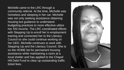Michelle came to the LRC through a community referral. At the time, Michelle was homeless and sleeping in her car. Michelle was not only seeking assistance obtaining housing but guidance to understand budgeting practices to more effective utilize her SSI income. The LRC coordinated efforts with Stepping Up to enroll her in employment training and connected her to the Literacy Council so she could continue working on her GED. Michelle continues to work with Stepping Up and the Literacy Council. She is on the HOME list for permanent housing assistance while maintaining a room at a local shelter and has applied to the Chapel Hill Debt Fund to clear up outstanding traffic ticket fees.

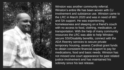

Winston was another community referral. Winston's entire life has been woven with CJ involvement and substance use. Winston came to the LRC in March 2020 and was in need of MH and SA support. He was experiencing homelessness and sleeping on a friend's couch with no access to food, clothing, medication, or transportation. With the help of many community resources the LRC was able to help Winston secure SSI/Disability benefits, connect with the ADA Reentry services to secure private temporary housing, assess Cardinal grant funds to obtain consistent financial support to pay for medications, food and basic needs. Winston has not missed one court appearance for past related justice involvement and has maintained his sobriety since his last release.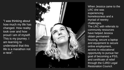"I was thinking about how much my life has changed. How reality took over and how proud I am of myself. This is my journey. I am learning to understand that this life is a marathon not a race".



When Jessica came to the LRC she was experiencing homelessness and a myriad of reentry challenges. The LRC with referrals to community resources have helped Jessica obtain permanent housing, secure a laptop and equipment to secure online employment, access to educational opportunity to pursue her goal of becoming a PSS, and certificate of relief through the CJRD Legal Restoration Council.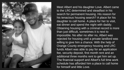

Meet Albert and his daughter Love. Albert came to the LRC determined and steadfast in his search for permanent housing. His reason for his tenacious housing search? A place for his daughter to call home. A place for her to visit, eat dinner and spend the night with daddy. Obtaining housing with a criminal record is more than just difficult, sometimes it is next to impossible. No after no after no, Albert was rejected for housing until a private landlord was willing to give him a chance. With the help of Orange County emergency housing and LRC funds Albert was able to pay for an application fee, security deposit, first month rent and an additional three months rent to get him set up. The financial support and Albert's full time work schedule has afforded him a place to call home for himself and little Love.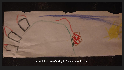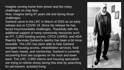Imagine coming home from prison and the many challenges on may face.

Now, imagine being 87 years old and facing those challenges.

Garland came to the LRC in March of 2020 as an early release due to COVID 19. Since his release he has faced insurmountable challenges. Thankfully with the additional support of many community resources such as FIT, CJRD funding access, CPCA CARES, and ADA Reentry Services Garland's reentry has been a bit more bearable. The LRC has been able to help Garland navigate housing access, rehabilitation services, food and basic needs, and mentorship. Garland is currently recovering from two surgeries on his neck and lower back. The LRC, CJRD interns and housing specialists are trying to relieve stress during this time by searching for permanent, assisted living.

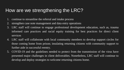# How are we strengthening the LRC?

- 1. continue to streamline the referral and intake process
- 2. strengthen case note management and data entry operations
- 3. LRC staff will continue to engage professional development education, such as, trauma informed care practices and racial equity training for best practices for direct client services
- 4. LRC staff will collaborate with local community members to develop support circles for those coming home from prison; insulating returning citizens with community support to further aide in successful reentry.
- 5. COVID-19 and the guidelines needed to protect from the transmission of the virus have presented major challenges in client deliverables. Nonetheless, LRC staff will continue to develop and deploy strategies to welcome returning citizens home.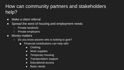# How can community partners and stakeholders help?

- Make a client referral
- Spread the word of housing and employment needs
	- Private landlords
	- Private employers
- Money matters
	- $\circ$  Do you know anyone who is looking to give?
		- Financial contributions can help with:
			- Clothing
			- Work supplies
			- Temporary housing
			- Transportation support
			- Educational access
			- Basic needs